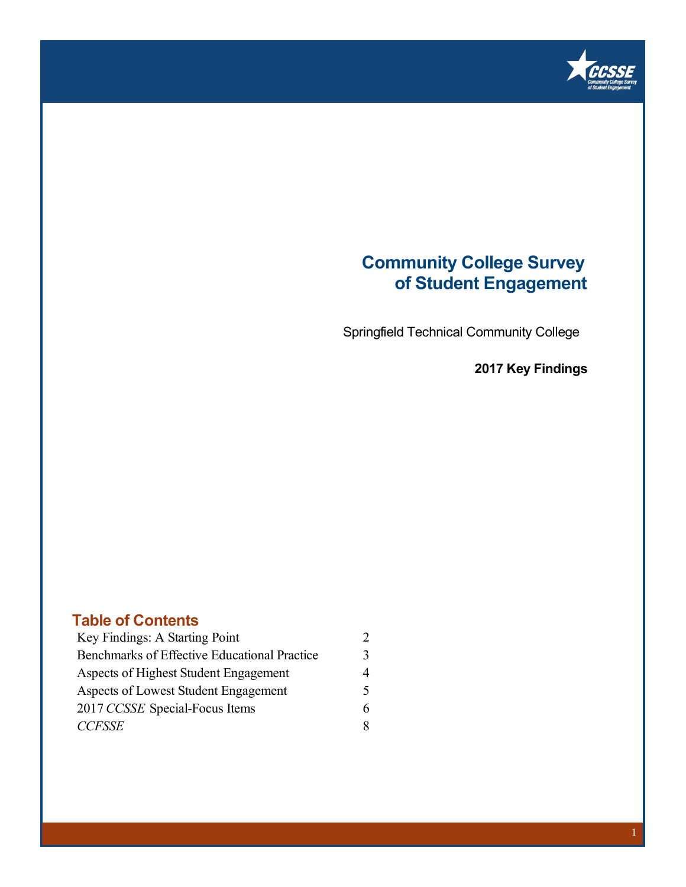

### **Community College Survey of Student Engagement**

Springfield Technical Community College

**2017 Key Findings** 

### **Table of Contents**

| Key Findings: A Starting Point               |  |
|----------------------------------------------|--|
| Benchmarks of Effective Educational Practice |  |
| Aspects of Highest Student Engagement        |  |
| Aspects of Lowest Student Engagement         |  |
| 2017 CCSSE Special-Focus Items               |  |
| <b>CCFSSE</b>                                |  |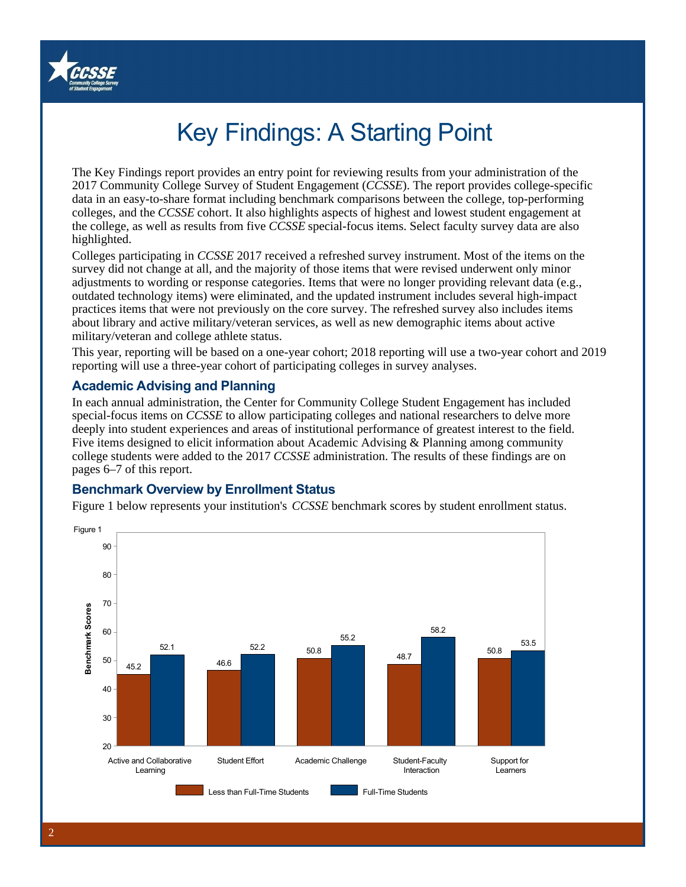

# Key Findings: A Starting Point

The Key Findings report provides an entry point for reviewing results from your administration of the 2017 Community College Survey of Student Engagement (*CCSSE*). The report provides college-specific data in an easy-to-share format including benchmark comparisons between the college, top-performing colleges, and the *CCSSE* cohort. It also highlights aspects of highest and lowest student engagement at the college, as well as results from five *CCSSE* special-focus items. Select faculty survey data are also highlighted.

Colleges participating in *CCSSE* 2017 received a refreshed survey instrument. Most of the items on the survey did not change at all, and the majority of those items that were revised underwent only minor adjustments to wording or response categories. Items that were no longer providing relevant data (e.g., outdated technology items) were eliminated, and the updated instrument includes several high-impact practices items that were not previously on the core survey. The refreshed survey also includes items about library and active military/veteran services, as well as new demographic items about active military/veteran and college athlete status.

This year, reporting will be based on a one-year cohort; 2018 reporting will use a two-year cohort and 2019 reporting will use a three-year cohort of participating colleges in survey analyses.

### **Academic Advising and Planning**

In each annual administration, the Center for Community College Student Engagement has included special-focus items on *CCSSE* to allow participating colleges and national researchers to delve more deeply into student experiences and areas of institutional performance of greatest interest to the field. Five items designed to elicit information about Academic Advising & Planning among community college students were added to the 2017 *CCSSE* administration. The results of these findings are on pages 6–7 of this report.

### **Benchmark Overview by Enrollment Status**

Figure 1 below represents your institution's *CCSSE* benchmark scores by student enrollment status.

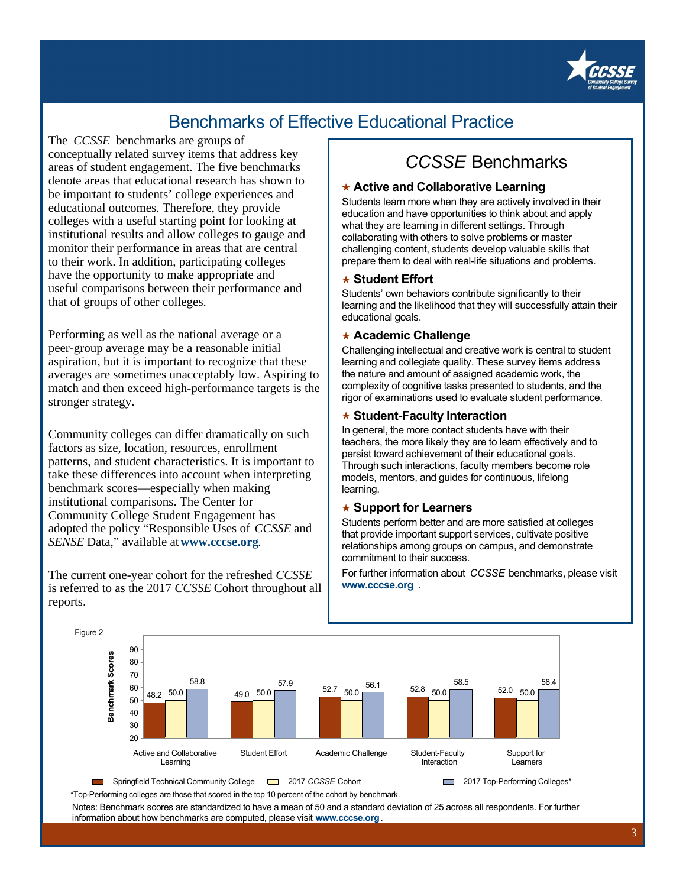

## Benchmarks of Effective Educational Practice

The *CCSSE* benchmarks are groups of conceptually related survey items that address key areas of student engagement. The five benchmarks denote areas that educational research has shown to be important to students' college experiences and educational outcomes. Therefore, they provide colleges with a useful starting point for looking at institutional results and allow colleges to gauge and monitor their performance in areas that are central to their work. In addition, participating colleges have the opportunity to make appropriate and useful comparisons between their performance and that of groups of other colleges.

Performing as well as the national average or a peer-group average may be a reasonable initial aspiration, but it is important to recognize that these averages are sometimes unacceptably low. Aspiring to match and then exceed high-performance targets is the stronger strategy.

Community colleges can differ dramatically on such factors as size, location, resources, enrollment patterns, and student characteristics. It is important to take these differences into account when interpreting benchmark scores—especially when making institutional comparisons. The Center for Community College Student Engagement has adopted the policy "Responsible Uses of *CCSSE* and *SENSE* Data," available at **www.cccse.org**.

The current one-year cohort for the refreshed *CCSSE*  is referred to as the 2017 *CCSSE* Cohort throughout all reports.

## *CCSSE* Benchmarks

### ★ **Active and Collaborative Learning**

Students learn more when they are actively involved in their education and have opportunities to think about and apply what they are learning in different settings. Through collaborating with others to solve problems or master challenging content, students develop valuable skills that prepare them to deal with real-life situations and problems.

#### ★ **Student Effort**

Students' own behaviors contribute significantly to their learning and the likelihood that they will successfully attain their educational goals.

#### ★ **Academic Challenge**

Challenging intellectual and creative work is central to student learning and collegiate quality. These survey items address the nature and amount of assigned academic work, the complexity of cognitive tasks presented to students, and the rigor of examinations used to evaluate student performance.

#### ★ **Student-Faculty Interaction**

In general, the more contact students have with their teachers, the more likely they are to learn effectively and to persist toward achievement of their educational goals. Through such interactions, faculty members become role models, mentors, and guides for continuous, lifelong learning.

#### ★ **Support for Learners**

Students perform better and are more satisfied at colleges that provide important support services, cultivate positive relationships among groups on campus, and demonstrate commitment to their success.

For further information about *CCSSE* benchmarks, please visit **www.cccse.org** .





\*Top-Performing colleges are those that scored in the top 10 percent of the cohort by benchmark.

Notes: Benchmark scores are standardized to have a mean of 50 and a standard deviation of 25 across all respondents. For further information about how benchmarks are computed, please visit **www.cccse.org** .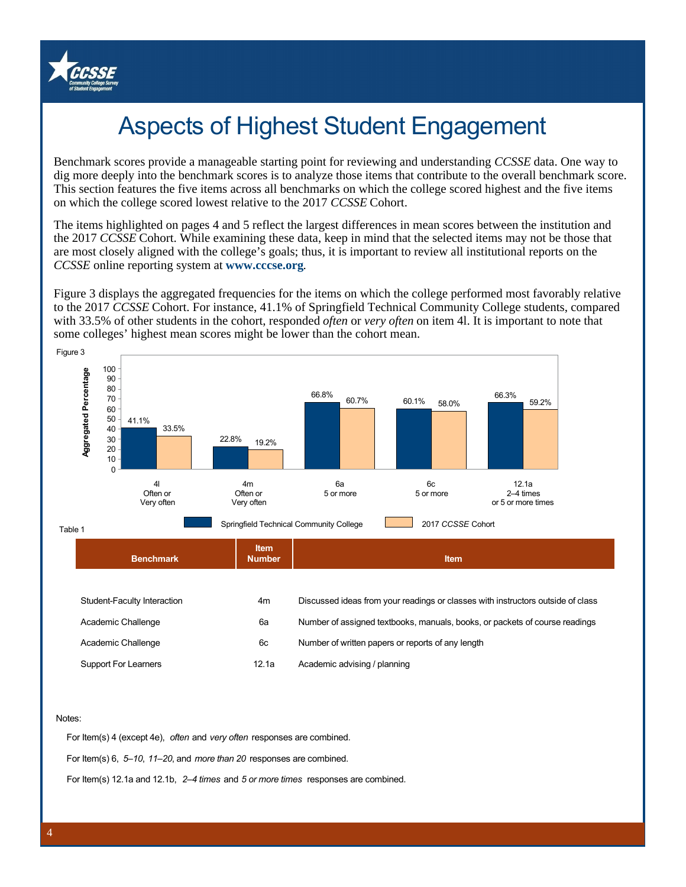

# Aspects of Highest Student Engagement

Benchmark scores provide a manageable starting point for reviewing and understanding *CCSSE* data. One way to dig more deeply into the benchmark scores is to analyze those items that contribute to the overall benchmark score. This section features the five items across all benchmarks on which the college scored highest and the five items on which the college scored lowest relative to the 2017 *CCSSE* Cohort.

The items highlighted on pages 4 and 5 reflect the largest differences in mean scores between the institution and the 2017 *CCSSE* Cohort. While examining these data, keep in mind that the selected items may not be those that are most closely aligned with the college's goals; thus, it is important to review all institutional reports on the *CCSSE* online reporting system at **www.cccse.org**.

Figure 3 displays the aggregated frequencies for the items on which the college performed most favorably relative to the 2017 *CCSSE* Cohort. For instance, 41.1% of Springfield Technical Community College students, compared with 33.5% of other students in the cohort, responded *often* or *very often* on item 4l. It is important to note that some colleges' highest mean scores might be lower than the cohort mean.



#### Notes:

For Item(s) 4 (except 4e), *often* and *very often* responses are combined.

For Item(s) 6, *5–10*, *11–20*, and *more than 20* responses are combined.

For Item(s) 12.1a and 12.1b, *2–4 times* and *5 or more times* responses are combined.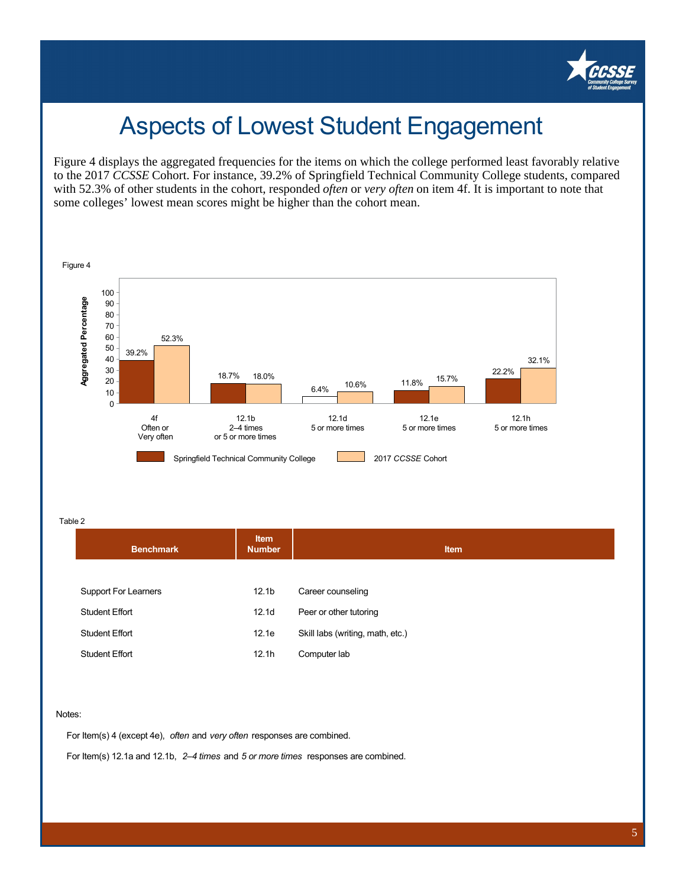

## Aspects of Lowest Student Engagement

Figure 4 displays the aggregated frequencies for the items on which the college performed least favorably relative to the 2017 *CCSSE* Cohort. For instance, 39.2% of Springfield Technical Community College students, compared with 52.3% of other students in the cohort, responded *often* or *very often* on item 4f. It is important to note that some colleges' lowest mean scores might be higher than the cohort mean.



Table 2

| <b>Benchmark</b>      | <b>Item</b><br><b>Number</b> | <b>Item</b>                      |
|-----------------------|------------------------------|----------------------------------|
| Support For Learners  | 12.1 <sub>b</sub>            | Career counseling                |
| <b>Student Effort</b> | 12.1 <sub>d</sub>            | Peer or other tutoring           |
| <b>Student Effort</b> | 12.1e                        | Skill labs (writing, math, etc.) |
| <b>Student Effort</b> | 12.1h                        | Computer lab                     |
|                       |                              |                                  |

#### Notes:

For Item(s) 4 (except 4e), *often* and *very often* responses are combined.

For Item(s) 12.1a and 12.1b, *2–4 times* and *5 or more times* responses are combined.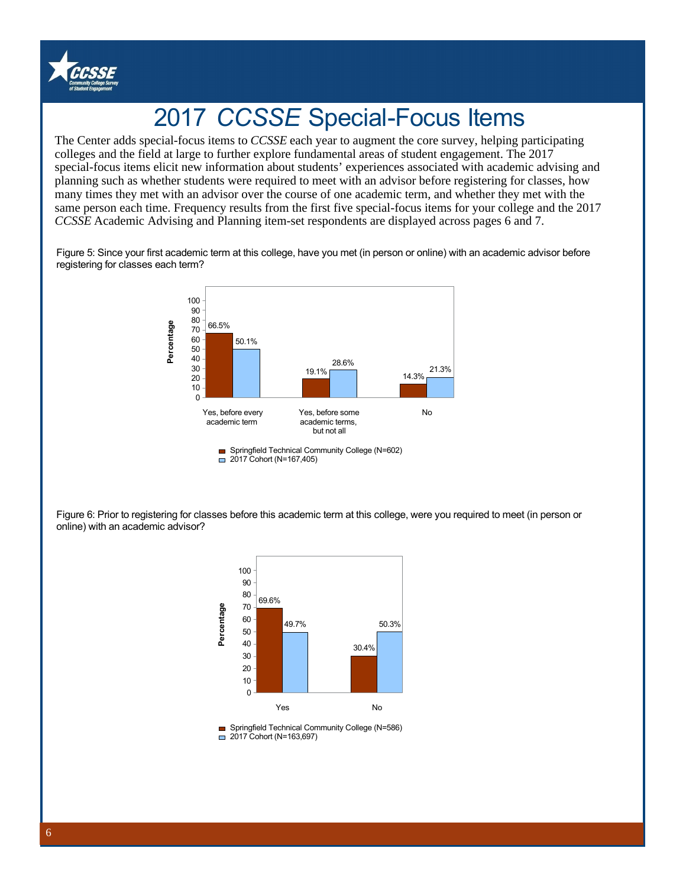

# 2017 *CCSSE* Special-Focus Items

'colleges and the field at large to further explore fundamental areas of student engagement. The 2017 special-focus items elicit new information about students' experiences associated with academic advising and The Center adds special-focus items to *CCSSE* each year to augment the core survey, helping participating planning such as whether students were required to meet with an advisor before registering for classes, how many times they met with an advisor over the course of one academic term, and whether they met with the same person each time. Frequency results from the first five special-focus items for your college and the 2017 *CCSSE* Academic Advising and Planning item-set respondents are displayed across pages 6 and 7.

Figure 5: Since your first academic term at this college, have you met (in person or online) with an academic advisor before registering for classes each term?



Springfield Technical Community College (N=602) □ 2017 Cohort (N=167,405)

Figure 6: Prior to registering for classes before this academic term at this college, were you required to meet (in person or online) with an academic advisor?



■ Springfield Technical Community College (N=586)  $\Box$  2017 Cohort (N=163,697)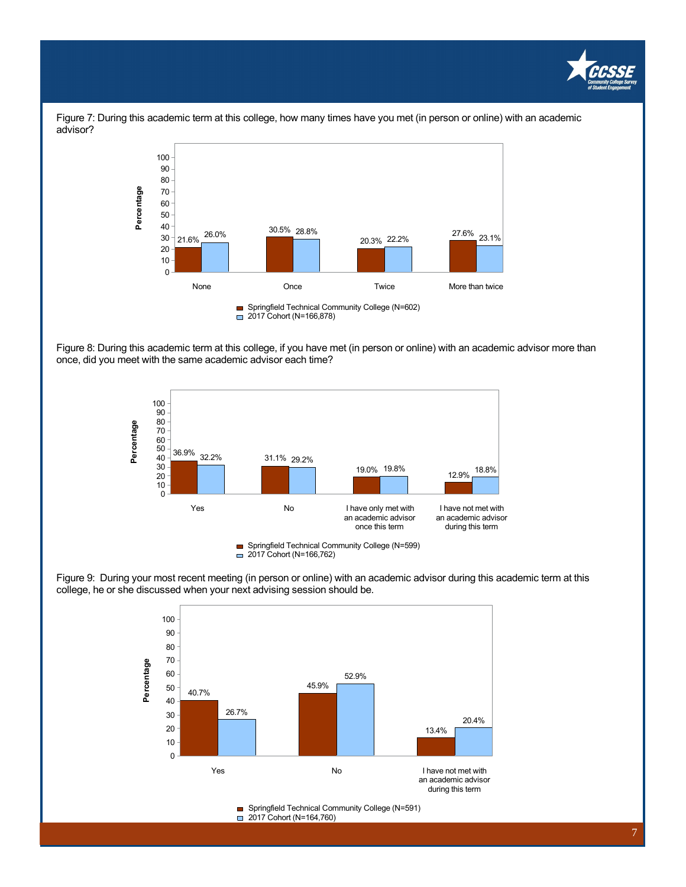



Figure 7: During this academic term at this college, how many times have you met (in person or online) with an academic advisor?